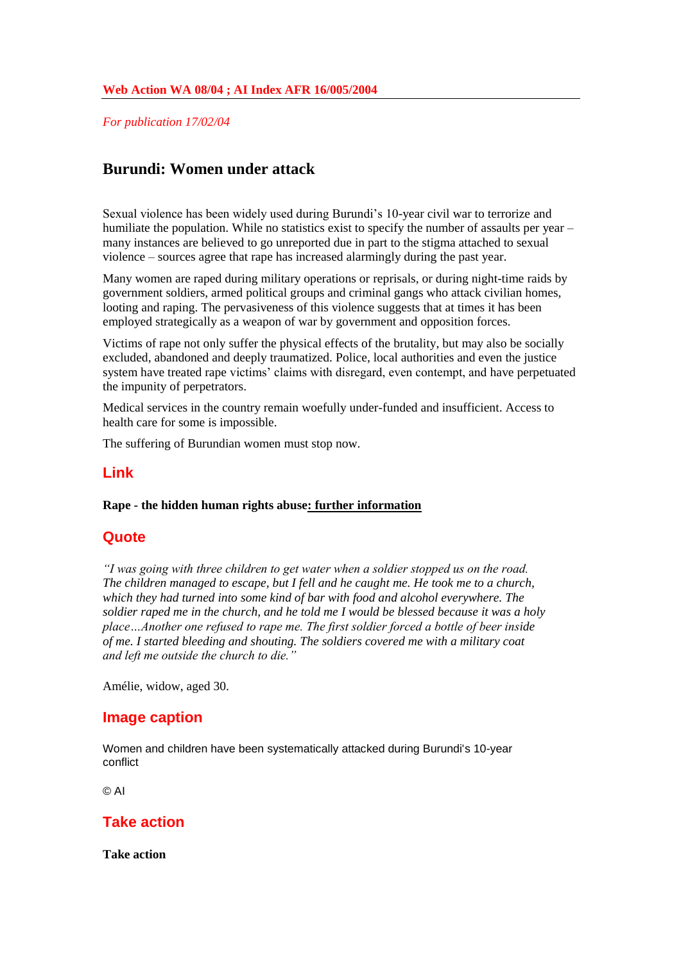*For publication 17/02/04*

## **Burundi: Women under attack**

Sexual violence has been widely used during Burundi's 10-year civil war to terrorize and humiliate the population. While no statistics exist to specify the number of assaults per year – many instances are believed to go unreported due in part to the stigma attached to sexual violence – sources agree that rape has increased alarmingly during the past year.

Many women are raped during military operations or reprisals, or during night-time raids by government soldiers, armed political groups and criminal gangs who attack civilian homes, looting and raping. The pervasiveness of this violence suggests that at times it has been employed strategically as a weapon of war by government and opposition forces.

Victims of rape not only suffer the physical effects of the brutality, but may also be socially excluded, abandoned and deeply traumatized. Police, local authorities and even the justice system have treated rape victims' claims with disregard, even contempt, and have perpetuated the impunity of perpetrators.

Medical services in the country remain woefully under-funded and insufficient. Access to health care for some is impossible.

The suffering of Burundian women must stop now.

### **Link**

### **Rape - the hidden human rights abuse: further information**

### **Quote**

*"I was going with three children to get water when a soldier stopped us on the road. The children managed to escape, but I fell and he caught me. He took me to a church, which they had turned into some kind of bar with food and alcohol everywhere. The soldier raped me in the church, and he told me I would be blessed because it was a holy place…Another one refused to rape me. The first soldier forced a bottle of beer inside of me. I started bleeding and shouting. The soldiers covered me with a military coat and left me outside the church to die."*

Amélie, widow, aged 30.

### **Image caption**

Women and children have been systematically attacked during Burundi's 10-year conflict

© AI

### **Take action**

**Take action**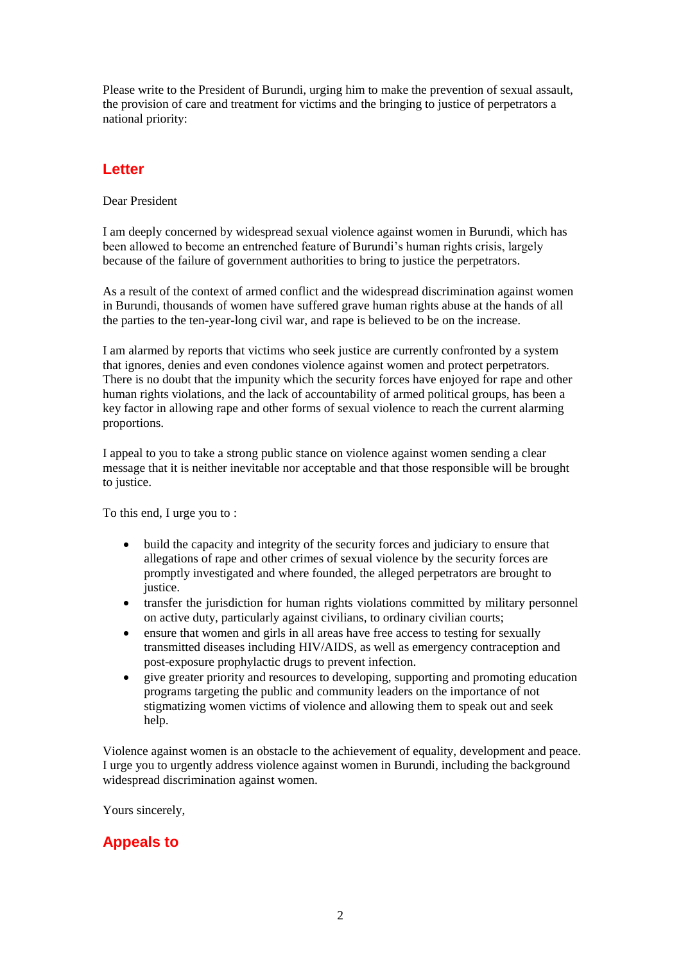Please write to the President of Burundi, urging him to make the prevention of sexual assault, the provision of care and treatment for victims and the bringing to justice of perpetrators a national priority:

## **Letter**

Dear President

I am deeply concerned by widespread sexual violence against women in Burundi, which has been allowed to become an entrenched feature of Burundi's human rights crisis, largely because of the failure of government authorities to bring to justice the perpetrators.

As a result of the context of armed conflict and the widespread discrimination against women in Burundi, thousands of women have suffered grave human rights abuse at the hands of all the parties to the ten-year-long civil war, and rape is believed to be on the increase.

I am alarmed by reports that victims who seek justice are currently confronted by a system that ignores, denies and even condones violence against women and protect perpetrators. There is no doubt that the impunity which the security forces have enjoyed for rape and other human rights violations, and the lack of accountability of armed political groups, has been a key factor in allowing rape and other forms of sexual violence to reach the current alarming proportions.

I appeal to you to take a strong public stance on violence against women sending a clear message that it is neither inevitable nor acceptable and that those responsible will be brought to justice.

To this end, I urge you to :

- build the capacity and integrity of the security forces and judiciary to ensure that allegations of rape and other crimes of sexual violence by the security forces are promptly investigated and where founded, the alleged perpetrators are brought to justice.
- transfer the jurisdiction for human rights violations committed by military personnel on active duty, particularly against civilians, to ordinary civilian courts;
- ensure that women and girls in all areas have free access to testing for sexually transmitted diseases including HIV/AIDS, as well as emergency contraception and post-exposure prophylactic drugs to prevent infection.
- give greater priority and resources to developing, supporting and promoting education programs targeting the public and community leaders on the importance of not stigmatizing women victims of violence and allowing them to speak out and seek help.

Violence against women is an obstacle to the achievement of equality, development and peace. I urge you to urgently address violence against women in Burundi, including the background widespread discrimination against women.

Yours sincerely,

## **Appeals to**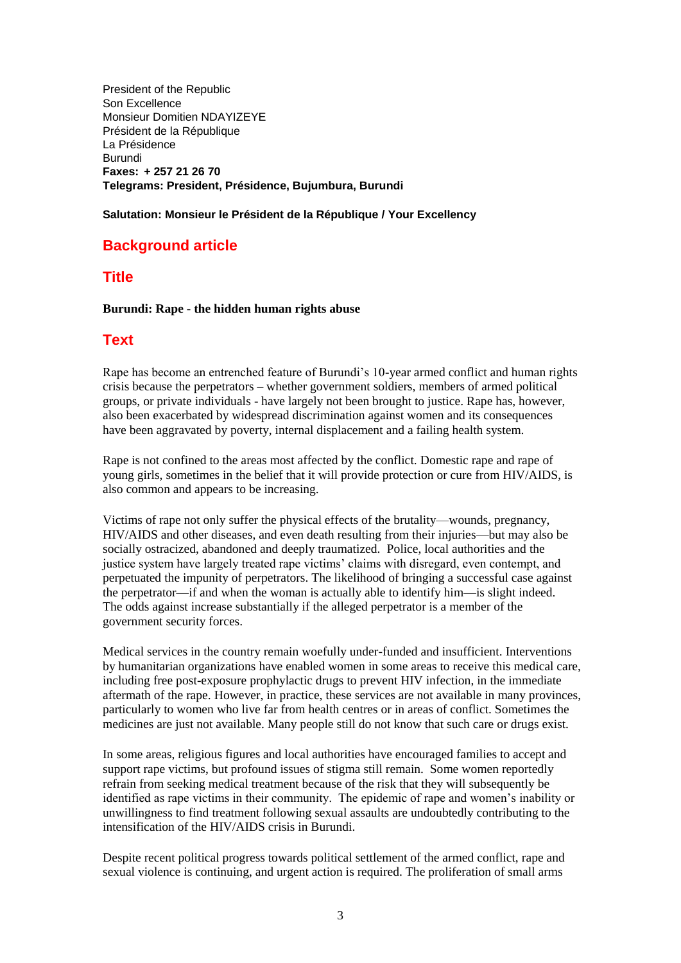President of the Republic Son Excellence Monsieur Domitien NDAYIZEYE Président de la République La Présidence Burundi **Faxes: + 257 21 26 70 Telegrams: President, Présidence, Bujumbura, Burundi**

### **Salutation: Monsieur le Président de la République / Your Excellency**

## **Background article**

### **Title**

### **Burundi: Rape - the hidden human rights abuse**

### **Text**

Rape has become an entrenched feature of Burundi's 10-year armed conflict and human rights crisis because the perpetrators – whether government soldiers, members of armed political groups, or private individuals - have largely not been brought to justice. Rape has, however, also been exacerbated by widespread discrimination against women and its consequences have been aggravated by poverty, internal displacement and a failing health system.

Rape is not confined to the areas most affected by the conflict. Domestic rape and rape of young girls, sometimes in the belief that it will provide protection or cure from HIV/AIDS, is also common and appears to be increasing.

Victims of rape not only suffer the physical effects of the brutality—wounds, pregnancy, HIV/AIDS and other diseases, and even death resulting from their injuries—but may also be socially ostracized, abandoned and deeply traumatized. Police, local authorities and the justice system have largely treated rape victims' claims with disregard, even contempt, and perpetuated the impunity of perpetrators. The likelihood of bringing a successful case against the perpetrator—if and when the woman is actually able to identify him—is slight indeed. The odds against increase substantially if the alleged perpetrator is a member of the government security forces.

Medical services in the country remain woefully under-funded and insufficient. Interventions by humanitarian organizations have enabled women in some areas to receive this medical care, including free post-exposure prophylactic drugs to prevent HIV infection, in the immediate aftermath of the rape. However, in practice, these services are not available in many provinces, particularly to women who live far from health centres or in areas of conflict. Sometimes the medicines are just not available. Many people still do not know that such care or drugs exist.

In some areas, religious figures and local authorities have encouraged families to accept and support rape victims, but profound issues of stigma still remain. Some women reportedly refrain from seeking medical treatment because of the risk that they will subsequently be identified as rape victims in their community. The epidemic of rape and women's inability or unwillingness to find treatment following sexual assaults are undoubtedly contributing to the intensification of the HIV/AIDS crisis in Burundi.

Despite recent political progress towards political settlement of the armed conflict, rape and sexual violence is continuing, and urgent action is required. The proliferation of small arms